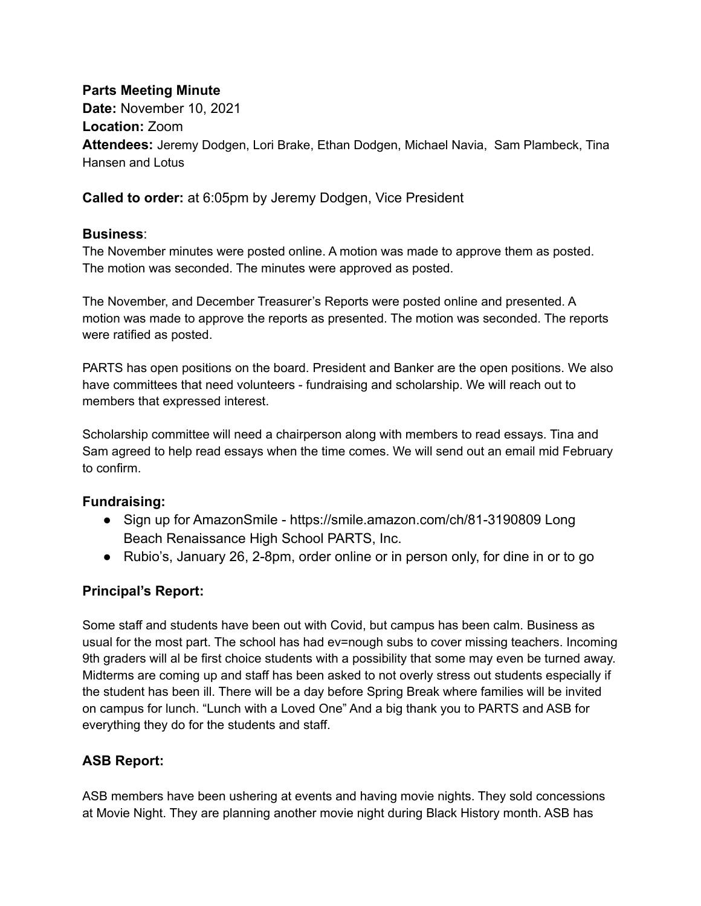### **Parts Meeting Minute**

**Date:** November 10, 2021 **Location:** Zoom **Attendees:** Jeremy Dodgen, Lori Brake, Ethan Dodgen, Michael Navia, Sam Plambeck, Tina Hansen and Lotus

**Called to order:** at 6:05pm by Jeremy Dodgen, Vice President

#### **Business**:

The November minutes were posted online. A motion was made to approve them as posted. The motion was seconded. The minutes were approved as posted.

The November, and December Treasurer's Reports were posted online and presented. A motion was made to approve the reports as presented. The motion was seconded. The reports were ratified as posted.

PARTS has open positions on the board. President and Banker are the open positions. We also have committees that need volunteers - fundraising and scholarship. We will reach out to members that expressed interest.

Scholarship committee will need a chairperson along with members to read essays. Tina and Sam agreed to help read essays when the time comes. We will send out an email mid February to confirm.

#### **Fundraising:**

- Sign up for AmazonSmile https://smile.amazon.com/ch/81-3190809 Long Beach Renaissance High School PARTS, Inc.
- Rubio's, January 26, 2-8pm, order online or in person only, for dine in or to go

## **Principal's Report:**

Some staff and students have been out with Covid, but campus has been calm. Business as usual for the most part. The school has had ev=nough subs to cover missing teachers. Incoming 9th graders will al be first choice students with a possibility that some may even be turned away. Midterms are coming up and staff has been asked to not overly stress out students especially if the student has been ill. There will be a day before Spring Break where families will be invited on campus for lunch. "Lunch with a Loved One" And a big thank you to PARTS and ASB for everything they do for the students and staff.

## **ASB Report:**

ASB members have been ushering at events and having movie nights. They sold concessions at Movie Night. They are planning another movie night during Black History month. ASB has